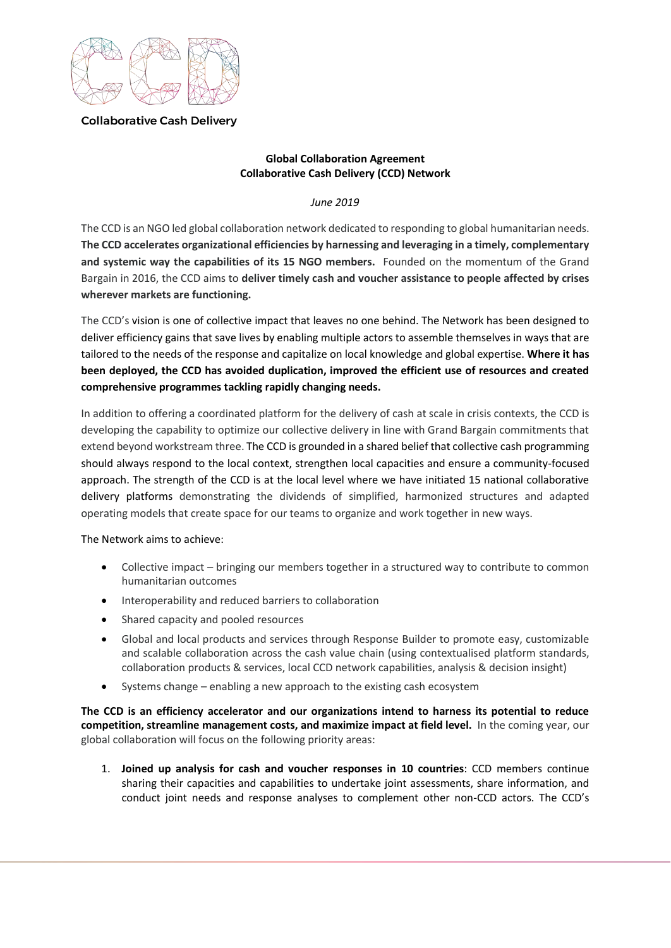

**Collaborative Cash Delivery** 

## **Global Collaboration Agreement Collaborative Cash Delivery (CCD) Network**

*June 2019*

The CCD is an NGO led global collaboration network dedicated to responding to global humanitarian needs. **The CCD accelerates organizational efficiencies by harnessing and leveraging in a timely, complementary and systemic way the capabilities of its 15 NGO members.** Founded on the momentum of the Grand Bargain in 2016, the CCD aims to **deliver timely cash and voucher assistance to people affected by crises wherever markets are functioning.** 

The CCD's vision is one of collective impact that leaves no one behind. The Network has been designed to deliver efficiency gains that save lives by enabling multiple actors to assemble themselves in ways that are tailored to the needs of the response and capitalize on local knowledge and global expertise. **Where it has been deployed, the CCD has avoided duplication, improved the efficient use of resources and created comprehensive programmes tackling rapidly changing needs.** 

In addition to offering a coordinated platform for the delivery of cash at scale in crisis contexts, the CCD is developing the capability to optimize our collective delivery in line with Grand Bargain commitments that extend beyond workstream three. The CCD is grounded in a shared belief that collective cash programming should always respond to the local context, strengthen local capacities and ensure a community-focused approach. The strength of the CCD is at the local level where we have initiated 15 national collaborative delivery platforms demonstrating the dividends of simplified, harmonized structures and adapted operating models that create space for our teams to organize and work together in new ways.

The Network aims to achieve:

- Collective impact bringing our members together in a structured way to contribute to common humanitarian outcomes
- Interoperability and reduced barriers to collaboration
- Shared capacity and pooled resources
- Global and local products and services through Response Builder to promote easy, customizable and scalable collaboration across the cash value chain (using contextualised platform standards, collaboration products & services, local CCD network capabilities, analysis & decision insight)
- Systems change enabling a new approach to the existing cash ecosystem

**The CCD is an efficiency accelerator and our organizations intend to harness its potential to reduce competition, streamline management costs, and maximize impact at field level.** In the coming year, our global collaboration will focus on the following priority areas:

1. **Joined up analysis for cash and voucher responses in 10 countries**: CCD members continue sharing their capacities and capabilities to undertake joint assessments, share information, and conduct joint needs and response analyses to complement other non-CCD actors. The CCD's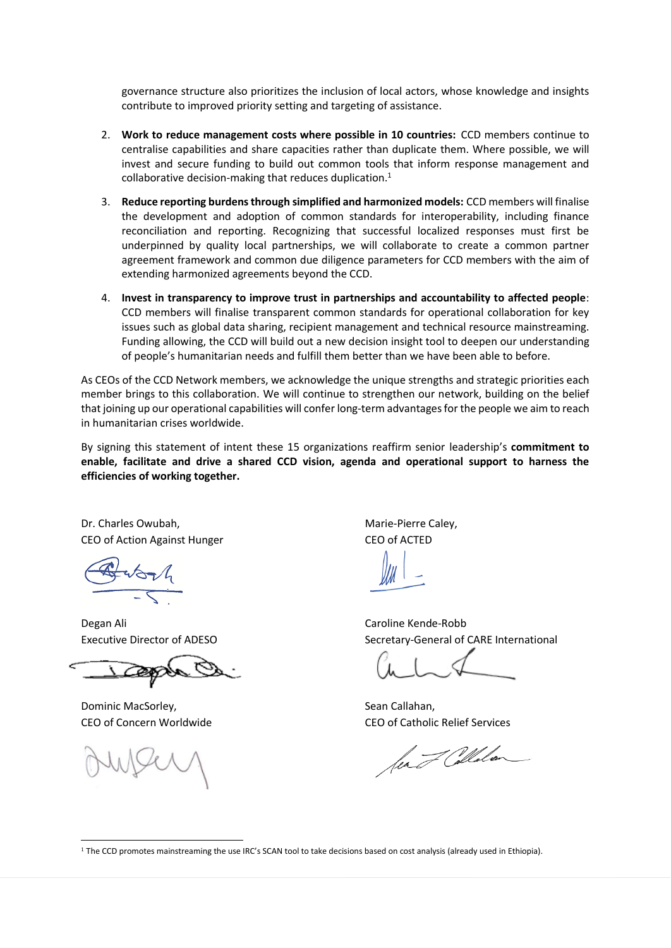governance structure also prioritizes the inclusion of local actors, whose knowledge and insights contribute to improved priority setting and targeting of assistance.

- 2. **Work to reduce management costs where possible in 10 countries:** CCD members continue to centralise capabilities and share capacities rather than duplicate them. Where possible, we will invest and secure funding to build out common tools that inform response management and collaborative decision-making that reduces duplication. $1$
- 3. **Reduce reporting burdens through simplified and harmonized models:** CCD members will finalise the development and adoption of common standards for interoperability, including finance reconciliation and reporting. Recognizing that successful localized responses must first be underpinned by quality local partnerships, we will collaborate to create a common partner agreement framework and common due diligence parameters for CCD members with the aim of extending harmonized agreements beyond the CCD.
- 4. **Invest in transparency to improve trust in partnerships and accountability to affected people**: CCD members will finalise transparent common standards for operational collaboration for key issues such as global data sharing, recipient management and technical resource mainstreaming. Funding allowing, the CCD will build out a new decision insight tool to deepen our understanding of people's humanitarian needs and fulfill them better than we have been able to before.

As CEOs of the CCD Network members, we acknowledge the unique strengths and strategic priorities each member brings to this collaboration. We will continue to strengthen our network, building on the belief that joining up our operational capabilities will confer long-term advantages for the people we aim to reach in humanitarian crises worldwide.

By signing this statement of intent these 15 organizations reaffirm senior leadership's **commitment to enable, facilitate and drive a shared CCD vision, agenda and operational support to harness the efficiencies of working together.** 

Dr. Charles Owubah, The Caley, Electronic Marie-Pierre Caley, CEO of Action Against Hunger CEO of ACTED

Degan Ali Caroline Kende-Robb

Dominic MacSorley, and the search of the Sean Callahan,

-

Executive Director of ADESO Secretary-General of CARE International

CEO of Concern Worldwide CEO of Catholic Relief Services

for I Collaton

<sup>1</sup> The CCD promotes mainstreaming the use IRC's SCAN tool to take decisions based on cost analysis (already used in Ethiopia).